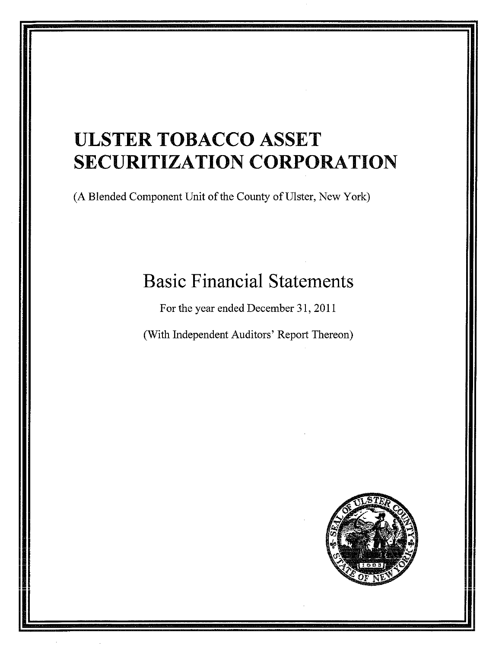(A Blended Component Unit of the County of Ulster, New York)

# **Basic Financial Statements**

For the year ended December 31, 2011

(With Independent Auditors' Report Thereon)

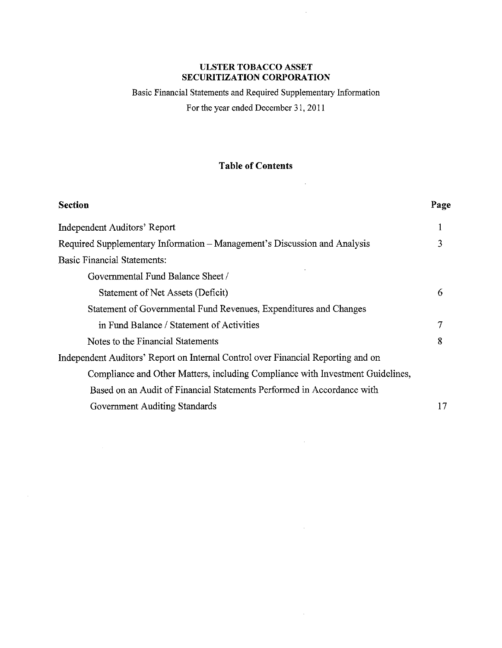$\mathcal{A}^{\mathcal{A}}$ 

 $\sim 10^7$ 

 $\sim 10^{-10}$ 

 $\sim 10^7$ 

 $\sim$ 

Basic Financial Statements and Required Supplementary Information

For the year ended December 31, 2011

## **Table of Contents**

| <b>Section</b>                                                                   | Page |
|----------------------------------------------------------------------------------|------|
| Independent Auditors' Report                                                     |      |
| Required Supplementary Information – Management's Discussion and Analysis        | 3    |
| <b>Basic Financial Statements:</b>                                               |      |
| Governmental Fund Balance Sheet /                                                |      |
| Statement of Net Assets (Deficit)                                                | 6    |
| Statement of Governmental Fund Revenues, Expenditures and Changes                |      |
| in Fund Balance / Statement of Activities                                        | 7    |
| Notes to the Financial Statements                                                | 8    |
| Independent Auditors' Report on Internal Control over Financial Reporting and on |      |
| Compliance and Other Matters, including Compliance with Investment Guidelines,   |      |
| Based on an Audit of Financial Statements Performed in Accordance with           |      |
| Government Auditing Standards                                                    | 17   |

 $\sim 10$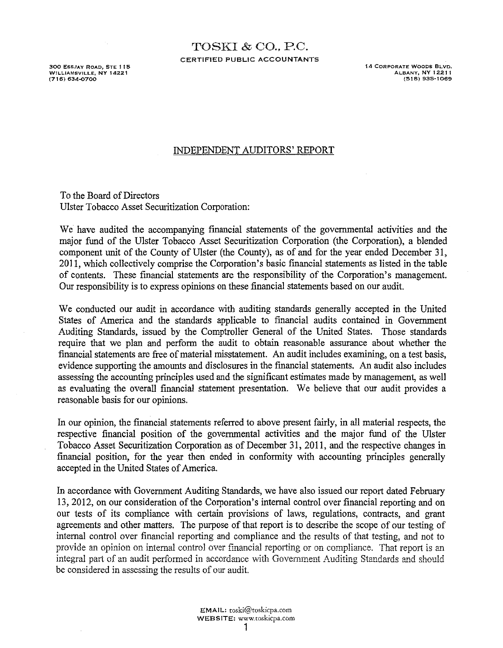TOSKI  $&$  CO., P.C. CERTIFIED PUBLIC ACCOUNTANTS

**300 ESSJAY ROAD, 5TE f t <sup>5</sup> WILLIAMSVILLE, NY 14221 (716) 634·0700** 

**14 CORPORATE WOODS BLVD. ALBANY, NY 12211 (518) 935-1069** 

#### INDEPENDENT AUDITORS' REPORT

To the Board of Directors Ulster Tobacco Asset Securitization Corporation:

We have audited the accompanying fmancial statements of the governmental activities and the major fund of the Ulster Tobacco Asset Securitization Corporation (the Corporation), a blended component unit of the County of Ulster (the County), as of and for the year ended December 31, 2011, which collectively comprise the Corporation's basic financial statements as listed in the table of contents. These fmancial statements are the responsibility of the Corporation's management. Our responsibility is to express opinions on these financial statements based on our audit.

We conducted our audit in accordance with auditing standards generally accepted in the United States of America and the standards applicable to financial audits contained in Government Auditing Standards, issued by the Comptroller General of the United States. Those standards require that we plan and perform the audit to obtain reasonable assurance about whether the financial statements are free of material misstatement. An audit includes examining, on a test basis, evidence supporting the amounts and disclosures in the fmancial statements. An audit also includes assessing the accounting principles used and the significant estimates made by management, as well as evaluating the overall financial statement presentation. We believe that our audit provides a reasonable basis for our opinions.

In our opinion, the financial statements referred to above present fairly, in all material respects, the respective financial position of the governmental activities and the major fund of the Ulster Tobacco Asset Securitization Corporation as of December 31, 2011, and the respective changes in financial position, for the year then ended in conformity with accounting principles generally accepted in the United States of America.

In accordance with Government Auditing Standards, we have also issued our report dated February 13, 2012, on our consideration of the Corporation's internal control over financial reporting and on our tests of its compliance with certain provisions of laws, regulations, contracts, and grant agreements and other matters. The purpose of that report is to describe the scope of our testing of internal control over financial reporting and compliance and the results of that testing, and not to provide an opinion on internal control over financial reporting or on compliance. That report is an integral part of an audit performed in accordance with Government Auditing Standards and should be considered in assessing the results of our audit.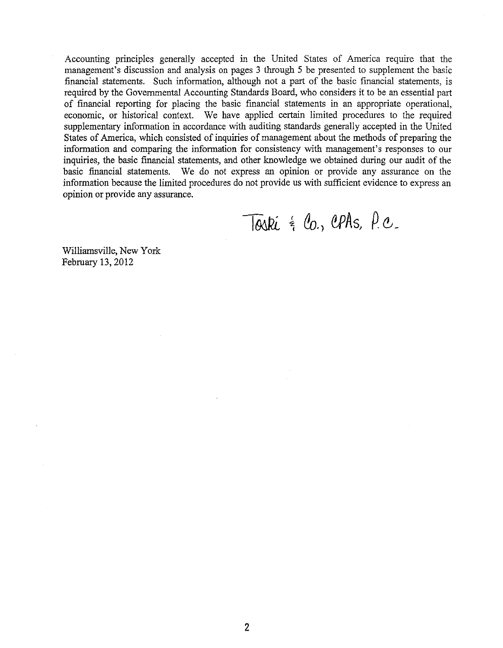Accounting principles generally accepted in the United States of America require that the management's discussion and analysis on pages 3 through 5 be presented to supplement the basic financial statements. Such information, although not a part of the basic financial statements, is required by the Governmental Accounting Standards Board, who considers it to be an essential part of fmancial reporting for placing the basic fmancial statements in an appropriate operational, economic, or historical context. We have applied certain limited procedures to the required supplementary information in accordance with auditing standards generally accepted in the United States of America, which consisted of inquiries of management about the methods of preparing the information and comparing the information for consistency with management's responses to our inquiries, the basic financial statements, and other knowledge we obtained during our audit of the basic fmancial statements. We do not express an opinion or provide any assurance on the information because the limited procedures do not provide us with sufficient evidence to express an opinion or provide any assurance.

Toski  $\epsilon$   $\ell_0$ , cpAs,  $\rho$ .c.

Williamsville, New York February 13, 2012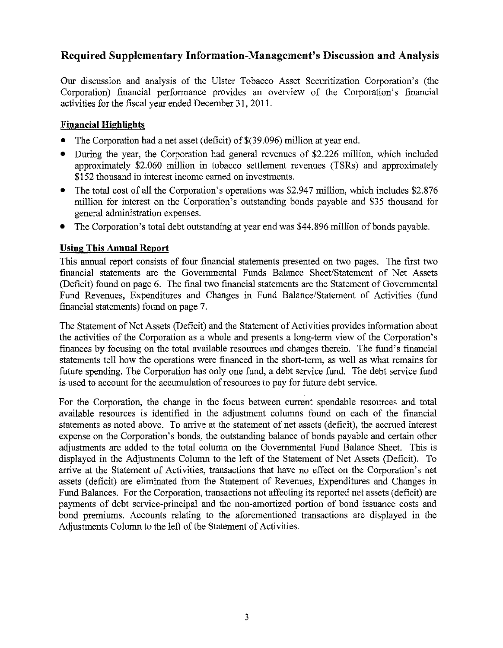## Required Supplementary Information-Management's Discussion and Analysis

Our discussion and analysis of the Ulster Tobacco Asset Securitization Corporation's (the Corporation) financial performance provides an overview of the Corporation's financial activities for the fiscal year ended December 31, 2011.

## Financial Highlights

- The Corporation had a net asset (deficit) of \$(39.096) million at year end.
- During the year, the Corporation had general revenues of \$2.226 million, which included approximately \$2.060 million in tobacco settlement revenues (TSRs) and approximately \$152 thousand in interest income earned on investments.
- The *total* cost of all the Corporation's operations was \$2.947 million, which includes \$2.876 million for interest on the Corporation's outstanding bonds payable and \$35 thousand for general administration expenses.
- The Corporation's total debt outstanding at year end was \$44.896 million of bonds payable.

## Using This Annual Report

This annual report consists of four financial statements presented on two pages. The first two financial statements are the Governmental Funds Balance Sheet/Statement of Net Assets (Deficit) found on page 6. The final two financial statements are the Statement of Governmental Fund Revenues, Expenditures and Changes in Fund Balance/Statement of Activities (fund financial statements) found on page 7.

The Statement of Net Assets (Deficit) and the Statement of Activities provides information about the activities of the Corporation as a whole and presents a long-term view of the Corporation's finances by focusing on the *total* available resources and changes therein. The fund's financial statements tell how the operations were financed in the short-term, as well as what remains for future spending. The Corporation has only one fund, a debt service fund. The debt service fund is used to account for the accumulation of resources to pay for future debt service.

For the Corporation, the change in the focus between current spendable resources and total available resources is identified in the adjustment columns found on each of the financial statements as noted above. To arrive at the statement of net assets (deficit), the accrued interest expense on the Corporation's bonds, the outstanding balance of bonds payable and certain other adjustments are added to the total column on the Governmental Fund Balance Sheet. This is displayed in the Adjustments Column to the left of the Statement of Net Assets (Deficit). To arrive at the Statement of Activities, transactions that have no effect on the Corporation's net assets (deficit) are eliminated from the Statement of Revenues, Expenditures and Changes in Fund Balances. For the Corporation, transactions not affecting its reported net assets (deficit) are payments of debt service-principal and the non-amortized portion of bond issuance costs and bond premiums. Accounts relating to the aforementioned transactions are displayed in the Adjustments Column to the left of the Statement of Activities.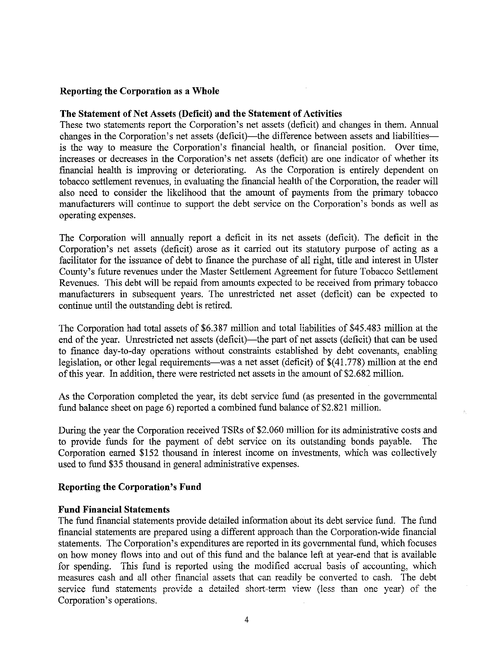## **Reporting the Corporation** as a **Whole**

## **The Statement of Net Assets (Deficit) and the Statement of Activities**

These two statements report the Corporation's net assets (deficit) and changes in them. Annual changes in the Corporation's net assets (deficit)—the difference between assets and liabilities is the way to measure the Corporation's financial health, or financial position. Over time, increases or decreases in the Corporation's net assets (deficit) are one indicator of whether its financial health is improving or deteriorating. As the Corporation is entirely dependent on tobacco settlement revenues, in evaluating the financial health of the Corporation, the reader will also need to consider the likelihood that the amount of payments from the primary tobacco manufacturers will continue to support the debt service on the Corporation's bonds as well as operating expenses.

The Corporation will annually report a deficit in its net assets (deficit). The deficit in the Corporation's net assets (deficit) arose as it carried out its statutory purpose of acting as a facilitator for the issuance of debt to finance the purchase of all right, title and interest in Ulster County's future revenues under the Master Settlement Agreement for future Tobacco Settlement Revenues. This debt will be repaid from amounts expected to be received from primary tobacco manufacturers in subsequent years. The unrestricted net asset (deficit) can be expected to continue until the outstanding debt is retired.

The Corporation had total assets of \$6.387 million and total liabilities of \$45.483 million at the end of the year. Unrestricted net assets (deficit)—the part of net assets (deficit) that can be used to finance day-to-day operations without constraints established by debt covenants, enabling legislation, or other legal requirements—was a net asset (deficit) of  $$(41.778)$  million at the end of this year. In addition, there were restricted net assets in the amount of \$2.682 million.

As the Corporation completed the year, its debt service fund (as presented in the governmental fund balance sheet on page 6) reported a combined fund balance of \$2.821 million.

During the year the Corporation received TSRs of \$2.060 million for its administrative costs and to provide funds for the payment of debt service on its outstanding bonds payable. The Corporation earned \$152 thousand in interest income on investments, which was collectively used to fund \$35 thousand in general administrative expenses.

## **Reporting the Corporation's Fund**

## **Fund Financial Statements**

The fund financial statements provide detailed information about its debt service fund. The fund financial statements are prepared using a different approach than the Corporation-wide financial statements. The Corporation's expenditures are reported in its goverrnnental fund, which focuses on how money flows into and out of this fund and the balance left at year-end that is available **for spending. This fund is reported using the modified accrual basis of accounting, which**  measures cash and all other financial assets that can readily be converted to cash. The debt service fund statements provide a detailed short-term view (less than one year) of the Corporation's operations.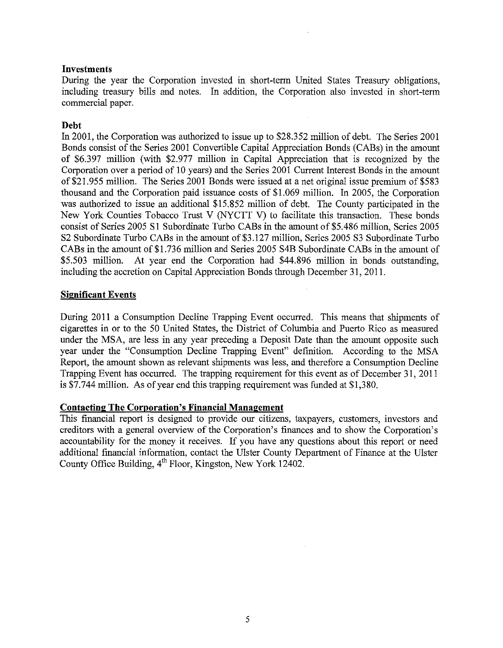## **Investments**

During the year the Corporation invested in short-term United States Treasury obligations, including treasury bills and notes. In addition, the Corporation also invested in short-term commerciaI paper.

## **Debt**

In 2001, the Corporation was authorized to issue up to \$28.352 million of debt. The Series 2001 Bonds consist of the Series 2001 Convertible Capital Appreciation Bonds (CABs) in the amount of \$6.397 million (with \$2.977 million in Capital Appreciation that is recognized by the Corporation over a period of 10 years) and the Series 2001 Current Interest Bonds in the amount of \$21.955 million. The Series 2001 Bonds were issued at a net original issue premium of \$583 thousand and the Corporation paid issuance costs of \$1.069 million. In 2005, the Corporation was authorized to issue an additional \$15.852 million of debt. The County participated in the New York Counties Tobacco Trust V (NYCTT V) to facilitate this transaction. These bonds consist of Series 2005 S 1 Subordinate Turbo CABs in the amount of \$5.486 million, Series 2005 S2 Subordinate Turbo CABs in the amount of \$3.127 million, Series 2005 S3 Subordinate Turbo CABs in the amount of \$1.736 million and Series 2005 S4B Subordinate CABs in the amount of \$5.503 million. At year end the Corporation had \$44.896 million in bonds outstanding, including the accretion on Capital Appreciation Bonds through December 31, 2011.

## **Significant Events**

During 2011 a Consumption Decline Trapping Event occurred. This means that shipments of cigarettes in or to the 50 United States, the District of Columbia and Puerto Rico as measured under the MSA, are less in any year preceding a Deposit Date than the amount opposite such year under the "Consumption Decline Trapping Event" definition. According to the MSA Report, the amount shown as relevant shipments was less, and therefore a Consumption Decline Trapping Event has occurred. The trapping requirement for this event as of December 31, 2011 is \$7.744 million. As of year end this trapping requirement was funded at \$1,380.

## **Contacting The Corporation's Financial Management**

This financial report is designed to provide our citizens, taxpayers, customers, investors and creditors with a general overview of the Corporation's finances and to show the Corporation's accountability for the money it receives. If you have any questions about this report or need additionaI financial information, contact the Ulster County Department of Finance at the Ulster County Office Building,  $4<sup>th</sup>$  Floor, Kingston, New York 12402.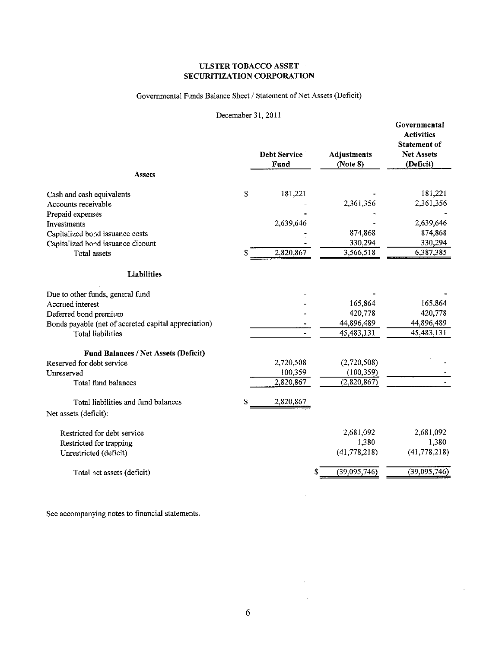Governmental Funds Balance Sheet / Statement of Net Assets (Deficit)

Decemaber 31, 2011

|                                                      |    | Debt Service<br>Fund | <b>Adjustments</b><br>(Note 8) | Governmental<br><b>Activities</b><br><b>Statement of</b><br><b>Net Assets</b><br>(Deficit) |
|------------------------------------------------------|----|----------------------|--------------------------------|--------------------------------------------------------------------------------------------|
| <b>Assets</b>                                        |    |                      |                                |                                                                                            |
| Cash and cash equivalents                            | \$ | 181,221              |                                | 181,221                                                                                    |
| Accounts receivable                                  |    |                      | 2,361,356                      | 2,361,356                                                                                  |
| Prepaid expenses                                     |    |                      |                                |                                                                                            |
| Investments                                          |    | 2,639,646            |                                | 2,639,646                                                                                  |
| Capitalized bond issuance costs                      |    |                      | 874,868                        | 874,868                                                                                    |
| Capitalized bond issuance dicount                    |    |                      | 330,294                        | 330,294                                                                                    |
| Total assets                                         | S  | 2,820,867            | 3,566,518                      | 6,387,385                                                                                  |
| Liabilities                                          |    |                      |                                |                                                                                            |
| Due to other funds, general fund                     |    |                      |                                |                                                                                            |
| Accrued interest                                     |    |                      | 165,864                        | 165,864                                                                                    |
| Deferred bond premium                                |    |                      | 420,778                        | 420,778                                                                                    |
| Bonds payable (net of accreted capital appreciation) |    |                      | 44,896,489                     | 44,896,489                                                                                 |
| <b>Total liabilities</b>                             |    |                      | 45,483,131                     | 45,483,131                                                                                 |
| Fund Balances / Net Assets (Deficit)                 |    |                      |                                |                                                                                            |
| Reserved for debt service                            |    | 2,720,508            | (2,720,508)                    |                                                                                            |
| Unreserved                                           |    | 100,359              | (100, 359)                     |                                                                                            |
| Total fund balances                                  |    | 2,820,867            | (2,820,867)                    |                                                                                            |
| Total liabilities and fund balances                  | S  | 2,820,867            |                                |                                                                                            |
| Net assets (deficit):                                |    |                      |                                |                                                                                            |
| Restricted for debt service                          |    |                      | 2,681,092                      | 2,681,092                                                                                  |
| Restricted for trapping                              |    |                      | 1,380                          | 1,380                                                                                      |
| Unrestricted (deficit)                               |    |                      | (41, 778, 218)                 | (41, 778, 218)                                                                             |
| Total net assets (deficit)                           |    |                      | (39,095,746)                   | (39,095,746)                                                                               |

**See accompanying notes to financial statements.** 

 $\sim 10^{-1}$ 

 $\mathcal{L}$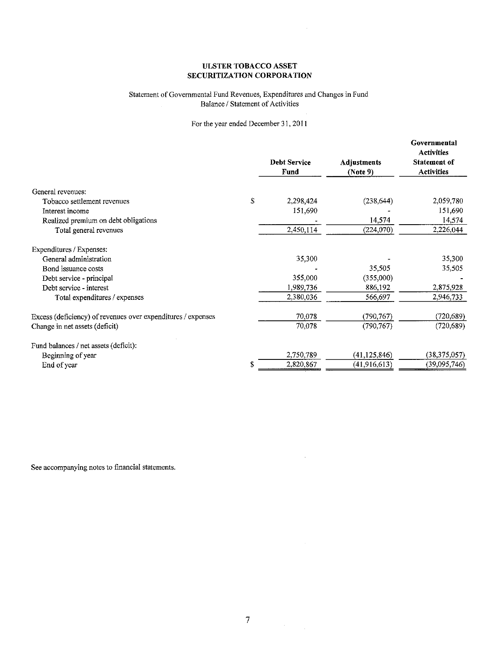#### Statement of Governmental Fund Revenues, Expenditures and Changes in Fund Balance / Statement of Activities

#### For the year ended December 31, 2011

|                                                              | <b>Debt Service</b><br>Fund | <b>Adjustments</b><br>(Note 9) | Governmental<br><b>Activities</b><br><b>Statement of</b><br><b>Activities</b> |
|--------------------------------------------------------------|-----------------------------|--------------------------------|-------------------------------------------------------------------------------|
| General revenues:                                            |                             |                                |                                                                               |
| Tobacco settlement revenues                                  | \$<br>2,298,424             | (238, 644)                     | 2,059,780                                                                     |
| Interest income                                              | 151,690                     |                                | 151,690                                                                       |
| Realized premium on debt obligations                         |                             | 14.574                         | 14,574                                                                        |
| Total general revenues                                       | 2,450,114                   | (224,070)                      | 2,226,044                                                                     |
| Expenditures / Expenses:                                     |                             |                                |                                                                               |
| General administration                                       | 35,300                      |                                | 35,300                                                                        |
| Bond issuance costs                                          |                             | 35,505                         | 35,505                                                                        |
| Debt service - principal                                     | 355,000                     | (355,000)                      |                                                                               |
| Debt service - interest                                      | 1,989,736                   | 886,192                        | 2,875,928                                                                     |
| Total expenditures / expenses                                | 2,380,036                   | 566.697                        | 2,946,733                                                                     |
| Excess (deficiency) of revenues over expenditures / expenses | 70,078                      | (790, 767)                     | (720, 689)                                                                    |
| Change in net assets (deficit)                               | 70,078                      | (790, 767)                     | (720, 689)                                                                    |
| Fund balances / net assets (deficit):                        |                             |                                |                                                                               |
| Beginning of year                                            | 2,750,789                   | (41, 125, 846)                 | (38, 375, 057)                                                                |
| End of year                                                  | \$<br>2,820,867             | (41,916,613)                   | (39,095,746)                                                                  |

See accompanying notes to financial statements.

 $\sim$ 

 $\sim$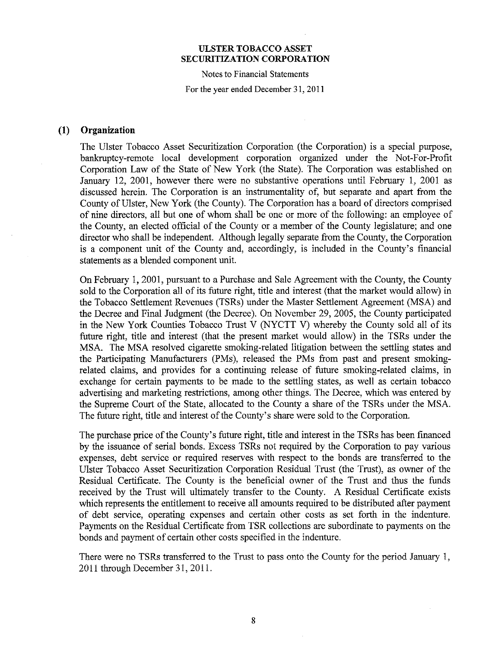Notes to Financial Statements For the year ended December 31, 2011

#### **(1)** Organization

The Ulster Tobacco Asset Securitization Corporation (the Corporation) is a special purpose, bankruptcy-remote local development corporation organized under the Not-For-Profit Corporation Law of the State of New York (the State). The Corporation was established on January 12, 2001, however there were no substantive operations until February 1, 2001 as discussed herein. The Corporation is an instrumentality of, but separate and apart from the County of Ulster, New York (the County). The Corporation has a board of directors comprised of nine directors, all but one of whom shall be one or more of the following: an employee of the County, an elected official of the County or a member of the County legislature; and one director who shall be independent. Although legally separate from the County, the Corporation is a component unit of the County and, accordingly, is included in the County's financial statements as a blended component unit.

On February 1, 2001, pursuant to a Purchase and Sale Agreement with the County, the County sold to the Corporation all of its future right, title and interest (that the market would allow) in the Tobacco Settlement Revenues (TSRs) under the Master Settlement Agreement (MSA) and the Decree and Final Judgment (the Decree). On November 29,2005, the County participated in the New York Counties Tobacco Trust V (NYCTT V) whereby the County sold all of its future right, title and interest (that the present market would allow) in the TSRs under the MSA. The MSA resolved cigarette smoking-related litigation between the settling states and the Participating Manufacturers (PMs), released the PMs from past and present smokingrelated claims, and provides for a continuing release of future smoking-related claims, in exchange for certain payments to be made to the settling states, as well as certain tobacco advertising and marketing restrictions, among other things. The Decree, which was entered by the Supreme Court of the State, allocated to the County a share of the TSRs under the MSA. The future right, title and interest of the County's share were sold to the Corporation.

The purchase price of the County's future right, title and interest in the TSRs has been fmanced by the issuance of serial bonds. Excess TSRs not required by the Corporation to pay various expenses, debt service or required reserves with respect to the bonds are transferred to the Ulster Tobacco Asset Securitization Corporation Residual Trust (the Trust), as owner of the Residual Certificate. The County is the beneficial owner of the Trust and thus the funds received by the Trust will ultimately transfer to the County. A Residual Certificate exists which represents the entitlement to receive all amounts required to be distributed after payment of debt service, operating expenses and certain other costs as set forth in the indenture. Payments on the Residual Certificate from TSR collections are subordinate to payments on the bonds and payment of certain other costs specified in the indenture.

There were no TSRs transferred to the Trust to pass onto the County for the period January 1, 2011 through December 31, 2011.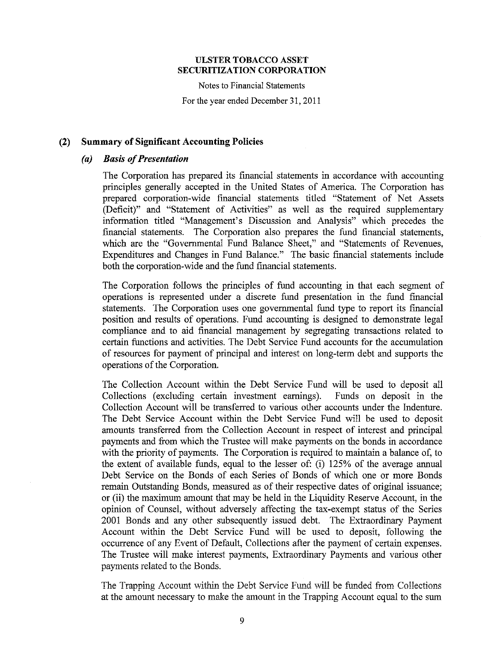Notes to Financial Statements

For the year ended December 31, 2011

## (2) **Summary of Significant Accounting** Policies

## *(aJ Basis of Presentation*

The Corporation has prepared its financial statements in accordance with accounting principles generally accepted in the United States of America. The Corporation has prepared corporation-wide financial statements titled "Statement of Net Assets (Deficit)" and "Statement of Activities" as well as the required supplementary information titled "Management's Discussion and Analysis" which precedes the financial statements. The Corporation also prepares the fund financial statements, which are the "Govermnental Fund Balance Sheet," and "Statements of Revenues, Expenditures and Changes in Fund Balance." The basic financial statements include both the corporation-wide and the fund financial statements.

The Corporation follows the principles of fund accounting in that each segment of operations is represented under a discrete fund presentation in the fund financial statements. The Corporation uses one govermnental fund type to report its financial position and results of operations. Fund accounting is designed to demonstrate legal compliance and to aid financial management by segregating transactions related to certain functions and activities. The Debt Service Fund accounts for the accumulation of resources for payment of principal and interest on long-term debt and supports the operations of the Corporation.

The Collection Account within the Debt Service Fund will be used to deposit all Collections (excluding certain investment earnings). Funds on deposit in the Collection Account will be transferred to various other accounts under the Indenture. The Debt Service Account within the Debt Service Fund will be used to deposit amounts transferred from the Collection Account in respect of interest and principal payments and from which the Trustee will make payments on the bonds in accordance with the priority of payments. The Corporation is required to maintain a balance of, to the extent of available funds, equal to the lesser of: (i) 125% of the average annual Debt Service on the Bonds of each Series of Bonds of which one or more Bonds remain Outstanding Bonds, measured as of their respective dates of original issuance; or (ii) the maximum amount that may be held in the Liquidity Reserve Account, in the opinion of Counsel, without adversely affecting the tax-exempt status of the Series 2001 Bonds and any other subsequently issued debt. The Extraordinary Payment Account within the Debt Service Fund will be used to deposit, following the occurrence of any Event of Default, Collections after the payment of certain expenses. The Trustee will make interest payments, Extraordinary Payments and various other payments related to the Bonds.

The Trapping Account within the Debt Service Fund will be funded from Collections at the amount necessary to make the amount in the Trapping Account equal to the sum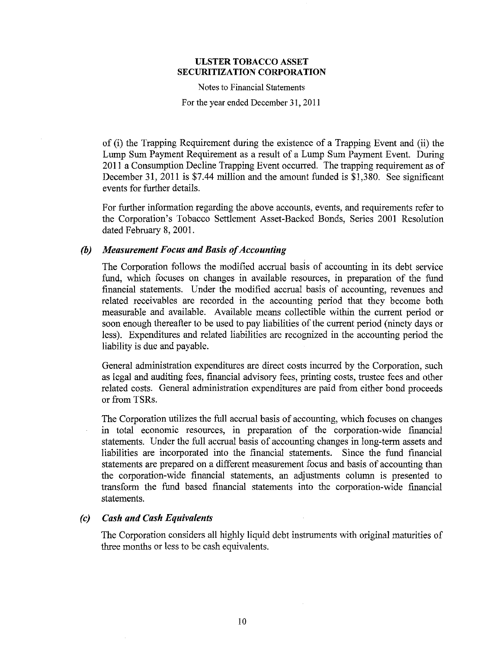Notes to Financial Statements

For the year ended December 31, 2011

of (i) the Trapping Requirement during the existence of a Trapping Event and (ii) the Lump Sum Payment Requirement as a result of a Lump Sum Payment Event. During 2011 a Consumption Decline Trapping Event occurred. The trapping requirement as of December 31, 2011 is \$7.44 million and the amount funded is \$1,380. See significant events for further details.

For further information regarding the above accounts, events, and requirements refer to the Corporation's Tobacco Settlement Asset-Backed Bonds, Series 2001 Resolution dated February 8, 2001.

## *(b) Measurement Focus and Basis of Accounting*

The Corporation follows the modified accrual basis of accounting in its debt service fund, which focuses on changes in available resources, in preparation of the fund financial statements. Under the modified accrual basis of accounting, revenues and related receivables are recorded in the accounting period that they become both measurable and available. Available means collectible within the current period or soon enough thereafter to be used to pay liabilities of the current period (ninety days or less). Expenditures and related liabilities are recognized in the accounting period the liability is due and payable.

General administration expenditures are direct costs incurred by the Corporation, such as legal and auditing fees, financial advisory fees, printing costs, trustee fees and other related costs. General administration expenditures are paid from either bond proceeds or from TSRs.

The Corporation utilizes the full accrual basis of accounting, which focuses on changes in total economic resources, in preparation of the corporation-wide financial statements. Under the full accrual basis of accounting changes in long-term assets and liabilities are incorporated into the financial statements. Since the fund financial statements are prepared on a different measurement focus and basis of accounting than the corporation-wide financial statements, an adjustments column is presented to transform the fund based financial statements into the corporation-wide financial statements.

## *(c) Cash and Cash Equivalents*

The Corporation considers all highly liquid debt instruments with original maturities of three months or less to be cash equivalents.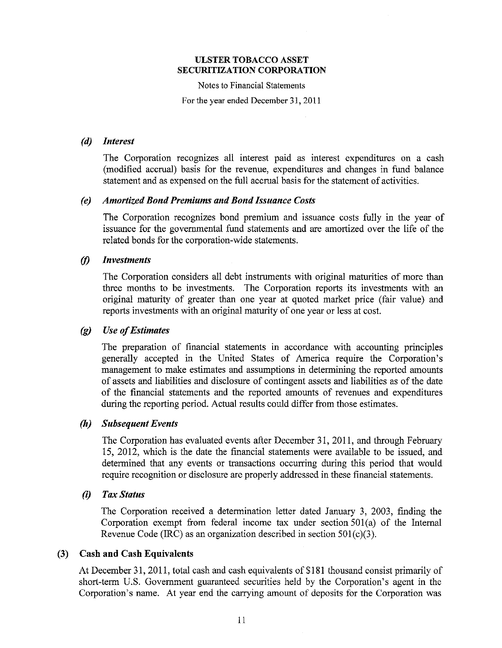Notes to Financial Statements

For the year ended December 31, 2011

## *(d) Interest*

The Corporation recognizes all interest paid as interest expenditures on a cash (modified accrual) basis for the revenue, expenditures and changes in fund balance statement and as expensed on the full accrual basis for the statement of activities.

## *(e) Amortized Bond Premiums and Bond Issuance Costs*

The Corporation recognizes bond premium and issuance costs fully in the year of issuance for the governmental fund statements and are amortized over the life of the related bonds for the corporation-wide statements.

## *(f) Investments*

The Corporation considers all debt instruments with original maturities of more than three months to be investments. The Corporation reports its investments with an original maturity of greater than one year at quoted market price (fair value) and reports investments with an original maturity of one year or less at cost.

## *(g) Use of Estimates*

The preparation of financial statements in accordance with accounting principles generally accepted in the United States of America require the Corporation's management to make estimates and assumptions in determining the reported amounts of assets and liabilities and disclosure of contingent assets and liabilities as of the date of the financial statements and the reported amounts of revenues and expenditures during the reporting period. Actual results could differ from those estimates.

## *(h) Subsequent Events*

The Corporation has evaluated events after December 31,2011, and through February 15, 2012, which is the date the financial statements were available to be issued, and determined that any events or transactions occurring during this period that would require recognition or disclosure are properly addressed in these financial statements.

## **(i)** *Tax Status*

The Corporation received a determination letter dated January 3, 2003, finding the Corporation exempt from federal income tax under section 501(a) of the Internal Revenue Code (IRC) as an organization described in section 501(c)(3).

## (3) **Cash and Cash Equivalents**

At December 31, 2011, total cash and cash equivalents of \$181 thousand consist primarily of short-term U.S. Government guaranteed securities held by the Corporation's agent in the Corporation's name. At year end the carrying amount of deposits tor the Corporation was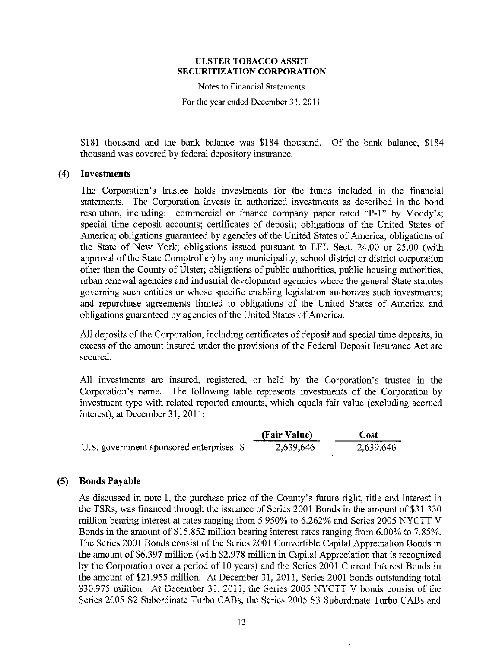Notes to Financial Statements

For the year ended December 31, 2011

\$181 thousand and the bank balance was \$184 thousand. Of the bank balance, \$184 thousand was covered by federal depository insurance.

## **(4) Investments**

The Corporation's trustee holds investments for the funds included in the financial statements. The Corporation invests in authorized investments as described in the bond resolution, including: commercial or finance company paper rated "P-l" by Moody's; special time deposit accounts; certificates of deposit; obligations of the United States of America; obligations guaranteed by agencies of the United States of America; obligations of the State of New York; obligations issued pursuant to LFL Sect. 24.00 or 25.00 (with approval of the State Comptroller) by any municipality, school district or district corporation other than the County of Ulster; obligations of public authorities, public housing authorities, urban renewal agencies and industrial development agencies where the general State statutes governing such entities or whose specific enabling legislation authorizes such investments; and repurchase agreements limited to obligations of the United States of America and obligations guaranteed by agencies of the United States of America.

All deposits of the Corporation, including certificates of deposit and special time deposits, in excess of the amount insured under the provisions of the Federal Deposit Insurance Act are secured.

All investments are insured, registered, or held by the Corporation's trustee in the Corporation's name. The following table represents investments of the Corporation by investment type with related reported amounts, which equals fair value (excluding accrued interest), at December 31, 2011:

|                                          | (Fair Value) | <b>Cost</b> |
|------------------------------------------|--------------|-------------|
| U.S. government sponsored enterprises \$ | 2,639,646    | 2,639,646   |

## **(5) Bonds Payable**

As discussed in note 1, the purchase price of the County's future right, title and interest in the TSRs, was financed through the issuance of Series 2001 Bonds in the amount of \$31.330 million bearing interest at rates ranging from 5.950% to 6.262% and Series 2005 NYCTT V Bonds in the amount of \$15.852 million bearing interest rates ranging from 6.00% to 7.85%. The Series 2001 Bonds consist of the Series 2001 Convertible Capital Appreciation Bonds in the amount of \$6.397 million (with \$2.978 million in Capital Appreciation that is recognized **by the Corporation over a period of 10 years) and the Series 2001 Current Interest Bonds in**  the amount of \$21.955 million. At December 31, 2011, Series 2001 bonds outstanding total \$30.975 million. At December 31, 2011, the Series 2005 NYCTT V bonds consist of the Series 2005 S2 Subordinate Turbo CABs, the Series 2005 S3 Subordinate Turbo CABs and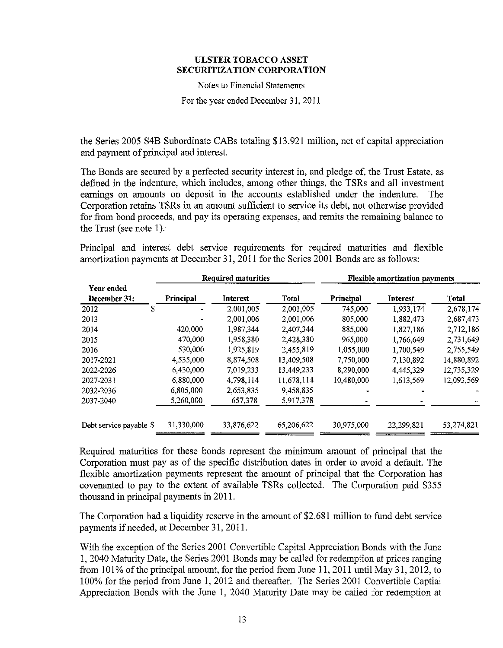Notes to Financial Statements

For the year ended December 31, 2011

the Series 2005 S4B Subordinate CABs totaling \$13.921 million, net of capital appreciation and payment of principal and interest.

The Bonds are secured by a perfected security interest in, and pledge of, the Trust Estate, as defined in the indenture, which includes, among other things, the TSRs and all investment earnings on amounts on deposit in the accounts established under the indenture. The Corporation retains TSRs in an amount sufficient to service its debt, not otherwise provided for from bond proceeds, and pay its operating expenses, and remits the remaining balance to the Trust (see note 1).

Principal and interest debt service requirements for required maturities and flexible amortization payments at December 31, 2011 for the Series 2001 Bonds are as follows:

|                            | <b>Required maturities</b> |            | <b>Flexible amortization payments</b> |            |                 |            |
|----------------------------|----------------------------|------------|---------------------------------------|------------|-----------------|------------|
| Year ended<br>December 31: | Principal                  | Interest   | Total                                 | Principal  | <b>Interest</b> | Total      |
| S<br>2012                  | ۰.                         | 2,001,005  | 2,001,005                             | 745,000    | 1,933,174       | 2,678,174  |
| 2013                       |                            | 2,001,006  | 2,001,006                             | 805,000    | 1,882,473       | 2,687,473  |
| 2014                       | 420,000                    | 1,987,344  | 2,407,344                             | 885,000    | 1,827,186       | 2,712,186  |
| 2015                       | 470,000                    | 1,958,380  | 2,428,380                             | 965,000    | 1,766,649       | 2,731,649  |
| 2016                       | 530,000                    | 1,925,819  | 2,455,819                             | 1,055,000  | 1,700,549       | 2,755,549  |
| 2017-2021                  | 4,535,000                  | 8,874,508  | 13,409,508                            | 7,750,000  | 7,130,892       | 14,880,892 |
| 2022-2026                  | 6,430,000                  | 7,019,233  | 13,449,233                            | 8,290,000  | 4,445,329       | 12,735,329 |
| 2027-2031                  | 6,880,000                  | 4,798,114  | 11,678,114                            | 10,480,000 | 1,613,569       | 12,093,569 |
| 2032-2036                  | 6,805,000                  | 2,653,835  | 9,458,835                             |            |                 |            |
| 2037-2040                  | 5,260,000                  | 657,378    | 5,917,378                             |            |                 |            |
| Debt service payable \$    | 31,330,000                 | 33,876,622 | 65,206,622                            | 30,975,000 | 22,299,821      | 53,274,821 |

Required maturities for these bonds represent the minimum amount of principal that the Corporation must pay as of the specific distribution dates in order to avoid a default. The flexible amortization payments represent the amount of principal that the Corporation has covenanted to pay to the extent of available TSRs collected. The Corporation paid \$355 thousand in principal payments in 2011.

The Corporation had a liquidity reserve in the amount of \$2.681 million to fund debt service payments if needed, at December 31, 2011.

With the exception of the Series 2001 Convertible Capital Appreciation Bonds with the June 1, 2040 Maturity Date, the Series 2001 Bonds may be called for redemption at prices ranging from 101% of the principal amount, for the period from June 11, 2011 until May 31, 2012, to 100% for the period from June 1, 2012 and thereafter. The Series 2001 Convertible Captial Appreciation Bonds with the June I, 2040 Maturity Date may be caiied for redemption at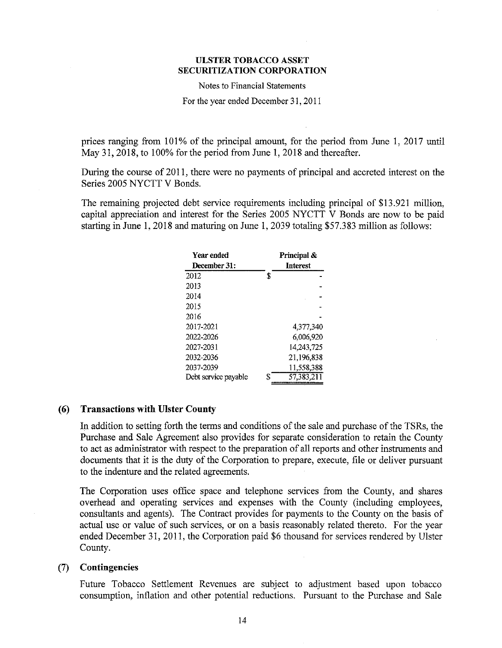Notes to Financial Statements

For the year ended December 31, 2011

prices ranging from 101 % of the principal amount, for the period from June 1, 2017 until May 31, 2018, to 100% for the period from June 1, 2018 and thereafter.

During the course of 2011, there were no payments of principal and accreted interest on the Series 2005 NYCTT V Bonds.

The remaining projected debt service requirements including principal of \$l3.921 million, capital appreciation and interest for the Series 2005 NYCTT V Bonds are now to be paid starting in June 1,2018 and maturing on June 1,2039 totaling \$57.383 million as follows:

| Year ended           | Principal &     |            |
|----------------------|-----------------|------------|
| December 31:         | <b>Interest</b> |            |
| 2012                 | S               |            |
| 2013                 |                 |            |
| 2014                 |                 |            |
| 2015                 |                 |            |
| 2016                 |                 |            |
| 2017-2021            |                 | 4,377,340  |
| 2022-2026            |                 | 6,006,920  |
| 2027-2031            |                 | 14,243,725 |
| 2032-2036            |                 | 21,196,838 |
| 2037-2039            |                 | 11,558,388 |
| Debt service payable |                 | 57,383,211 |

#### (6) Transactions with Ulster County

In addition to setting forth the terms and conditions of the sale and purchase of the TSRs, the Purchase and Sale Agreement also provides for separate consideration to retain the County to act as administrator with respect to the preparation of all reports and other instruments and documents that it is the duty of the Corporation to prepare, execute, file or deliver pursuant to the indenture and the related agreements.

The Corporation uses office space and telephone services from the County, and shares overhead and operating services and expenses with the County (including employees, consultants and agents). The Contract provides for payments to the County on the basis of actual use or value of such services, or on a basis reasonably related thereto. For the year ended December 31, 2011, the Corporation paid \$6 thousand for services rendered by Ulster County.

#### (7) Contingencies

Future Tobacco Settlement Revenues are subject to adjustment based upon tobacco consumption, inflation and other potential reductions. Pursuant to the Purchase and Sale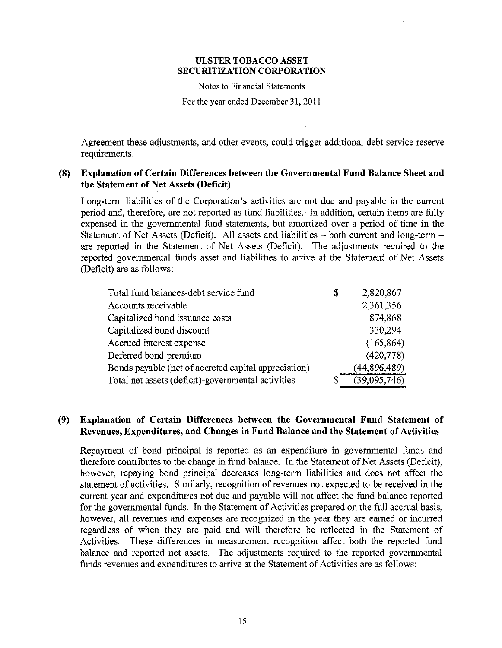Notes to Financial Statements

For the year ended December 31, 2011

Agreement these adjustments, and other events, could trigger additional debt service reserve requirements,

## **(8) Explanation of Certain Differences between the Governmental Fund Balance Sheet and the Statement of Net** Assets **(Deficit)**

Long-term liabilities of the Corporation's activities are not due and payable in the current period and, therefore, are not reported as fund liabilities.' In addition, certain items are fully expensed in the governmental fund statements, but amortized over a period of time in the Statement of Net Assets (Deficit). All assets and liabilities  $-$  both current and long-term  $$ are reported in the Statement of Net Assets (Deficit). The adjustments required to the reported governmental funds asset and liabilities to arrive at the Statement of Net Assets (Deficit) are as follows:

| Total fund balances-debt service fund                | S | 2,820,867    |
|------------------------------------------------------|---|--------------|
| Accounts receivable                                  |   | 2,361,356    |
| Capitalized bond issuance costs                      |   | 874,868      |
| Capitalized bond discount                            |   | 330,294      |
| Accrued interest expense                             |   | (165, 864)   |
| Deferred bond premium                                |   | (420,778)    |
| Bonds payable (net of accreted capital appreciation) |   | (44,896,489) |
| Total net assets (deficit)-governmental activities   |   | (39,095,746) |

## **(9) Explanation of Certain Differences between the Governmental Fund Statement of Revenues, Expenditures, and Changes in Fund Balance and the Statement of Activities**

Repayment of bond principal is reported as an expenditure in governmental funds and therefore contributes to the change in fund balance. In the Statement of Net Assets (Deficit), however, repaying bond principal decreases long-term liabilities and does not affect the statement of activities. Similarly, recognition of revenues not expected to be received in the current year and expenditures not due and payable will not affect the fund balance reported for the governmental funds. In the Statement of Activities prepared on the full accrual basis, however, all revenues and expenses are recognized in the year they are earned or incurred regardless of when they are paid and will therefore be reflected in the Statement of Activities. These differences in measurement recognition affect both the reported fund balance and reported net assets. The adjustments required to the reported governmental funds revenues and expenditures to arrive at the Statement of Activities are as follows: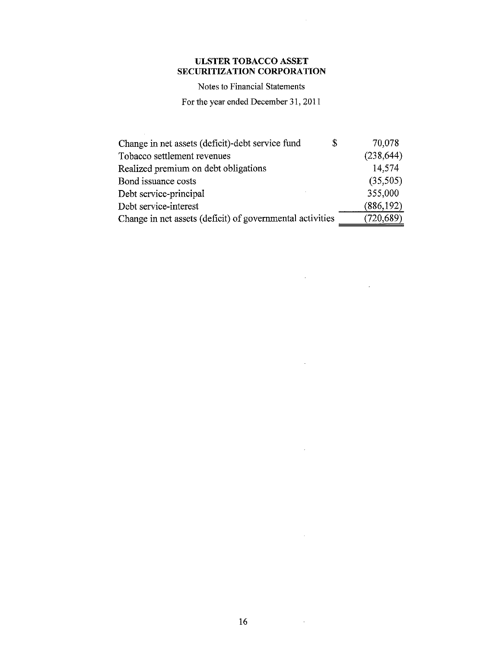$\mathcal{A}_{\mathcal{A}}$ 

 $\mathcal{L}^{\pm}$ 

 $\sim$ 

 $\sim$ 

 $\sim$ 

 $\sim$ 

 $\sim$   $\sim$ 

Notes to Financial Statements

For the year ended December 31, 2011

 $\sim 10^7$ 

| Change in net assets (deficit)-debt service fund<br>S     | 70,078     |
|-----------------------------------------------------------|------------|
| Tobacco settlement revenues                               | (238, 644) |
| Realized premium on debt obligations                      | 14,574     |
| Bond issuance costs                                       | (35,505)   |
| Debt service-principal                                    | 355,000    |
| Debt service-interest                                     | (886, 192) |
| Change in net assets (deficit) of governmental activities | (720,689)  |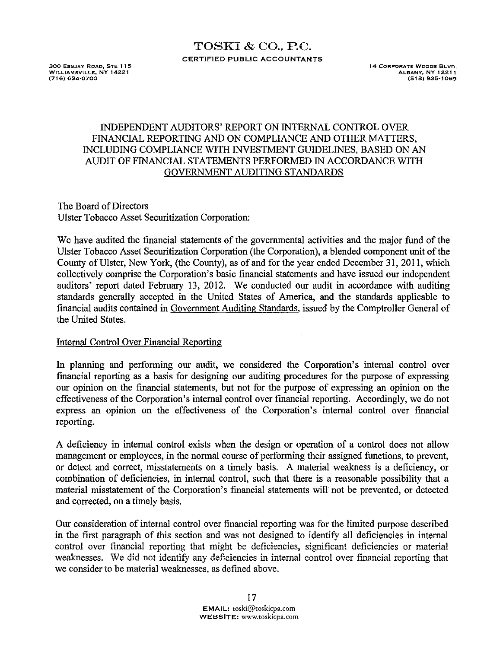**300 ESSJAY ROAD, STE 1 15 WILLIAMSVILLE, NY 14221 (716) 634-0700** 

**14 CORPORATE WOODS BLVO. ALBANY, NY t 2211 (SI8) 935-1069** 

## INDEPENDENT AUDITORS' REPORT ON INTERNAL CONTROL OVER FINANCIAL REPORTING AND ON COMPLIANCE AND OTHER MATTERS, INCLUDING COMPLIANCE WITH INVESTMENT GUIDELINES, BASED ON AN AUDIT OF FINANCIAL STATEMENTS PERFORMED IN ACCORDANCE WITH GOVERNMENT AUDITING STANDARDS

The Board of Directors Ulster Tobacco Asset Securitization Corporation:

We have audited the financial statements of the governmental activities and the major fund of the Ulster Tobacco Asset Securitization Corporation (the Corporation), a blended component unit of the County of Ulster, New York, (the County), as of and for the year ended December 31,2011, which collectively comprise the Corporation's basic financial statements and have issued our independent auditors' report dated February 13, 2012. We conducted our audit in accordance with auditing standards generally accepted in the United States of America, and the standards applicable to financial audits contained in Government Auditing Standards, issued by the Comptroller General of the United States.

## Internal Control Over Financial Reporting

In planning and performing our audit, we considered the Corporation's internal control over financial reporting as a basis for designing our auditing procedures for the purpose of expressing our opinion on the financial statements, but not for the purpose of expressing an opinion on the effectiveness of the Corporation's internal control over fmancial reporting. Accordingly, we do not express an opinion on the effectiveness of the Corporation's internal control over financial reporting.

A deficiency in internal control exists when the design or operation of a control does not allow management or employees, in the normal course of performing their assigned functions, to prevent, or detect and correct, misstatements on a timely basis. A material weakness is a deficiency, or combination of deficiencies, in internal control, such that there is a reasonable possibility that a material misstatement of the Corporation's financial statements will not be prevented, or detected and corrected, on a timely basis.

Our consideration of internal control over financial reporting was for the limited purpose described in the first paragraph of this section and was not designed to identify all deficiencies in internal control over financial reporting that might be deficiencies, significant deficiencies or material weaknesses. We did not identify any deficiencies in internal control over financial reporting that we consider to be material weaknesses, as defined above.